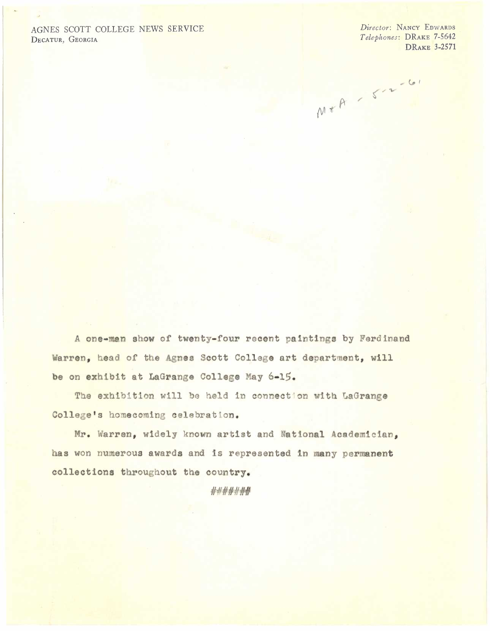## AGNES *SCOTT* COLLEGE NEWS SERVICE DECATUR, GEORGIA

*Director:* NANCY EDWARDS *Telephones:* DRAKE 7-5642 DRAKE 3-2571

M+A - 5-2-61

A one-man show of twenty-four recent paintings by Ferdinand Warren, head of the Agnes Scott College art department, will be on exhibit at LaGrange College May 6-15.

The exhibition will be held in connection with LaGrange College's homecoming celebration.

Mr. Warren, widely known artist and National Academician, has won numerous awards and is represented in many permanent collections throughout the country.

# #####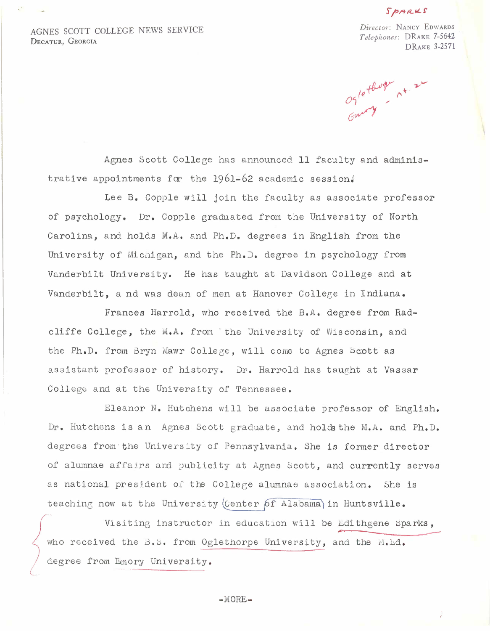## SPARKS

AGNES SCOTT COLLEGE NEWS SERVICE DECATUR, GEORGIA

*Director:* NANCY EDWARDS *Telephones:* DRAKE 7-5642 DRAKE 3-2571

Oglethogen At. 22

Agnes Scott College has announced 11 faculty and administrative appointments for the  $1961-62$  academic session.

Lee B. Copple will join the faculty as associate professor of psychology. Dr. Copple graduated from the University of North Carolina, and holds M.A. and Ph.D. degrees in English from the University of Micnigan, and the Ph.D. degree in psychology from Vanderbilt University. He has taught at Davidson College and at Vanderbilt, a nd was dean of men at Hanover College in Indiana.

Frances Harrold, who received the B.A. degree from Radcliffe College, the M.A. from the University of Wisconsin, and the Ph.D. from Bryn Mawr College, will come to Agnes Scott as assistant professor of history. Dr. Harrold has taught at Vassar College and at the University of Tennessee.

Eleanor N. Hutchens will be associate professor of English. Dr. Hutchens is an Agnes Scott graduate, and holds the M.A. and Ph.D. degrees from· the Uni *ve:cs* ity of Pennsylvania. She is former director of alumnae affairs and publicity at Agnes Scott, and currently serves as national president of the College alumnae association. She is teaching now at the University (Center of Alabama) in Huntsville.

 $\sqrt{\frac{1}{1-\epsilon}}$ Visiting instructor in education will be Edithgene Sparks,<br>who received the B.S. from Oglethorpe University, and the M.Ld. Visiting instructor in education will be Edithgene<br>who received the B.S. from Oglethorpe University, and the M.L degree from Emory University.

-MORE-